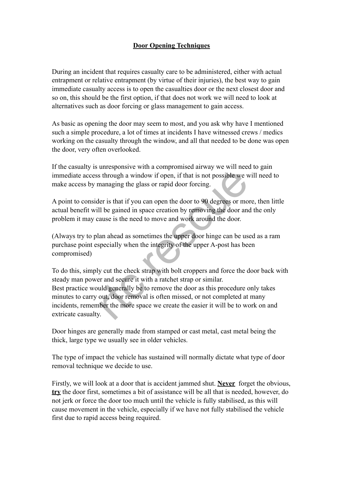## **Door Opening Techniques**

During an incident that requires casualty care to be administered, either with actual entrapment or relative entrapment (by virtue of their injuries), the best way to gain immediate casualty access is to open the casualties door or the next closest door and so on, this should be the first option, if that does not work we will need to look at alternatives such as door forcing or glass management to gain access.

As basic as opening the door may seem to most, and you ask why have I mentioned such a simple procedure, a lot of times at incidents I have witnessed crews / medics working on the casualty through the window, and all that needed to be done was open the door, very often overlooked.

If the casualty is unresponsive with a compromised airway we will need to gain immediate access through a window if open, if that is not possible we will need to make access by managing the glass or rapid door forcing.

A point to consider is that if you can open the door to 90 degrees or more, then little actual benefit will be gained in space creation by removing the door and the only problem it may cause is the need to move and work around the door.

(Always try to plan ahead as sometimes the upper door hinge can be used as a ram purchase point especially when the integrity of the upper A-post has been compromised)

To do this, simply cut the check strap with bolt croppers and force the door back with steady man power and secure it with a ratchet strap or similar. Best practice would generally be to remove the door as this procedure only takes minutes to carry out, door removal is often missed, or not completed at many incidents, remember the more space we create the easier it will be to work on and extricate casualty. If through a window if open, if that is not possible we we managing the glass or rapid door forcing.<br>
For is that if you can open the door to 90 degrees or momentum and the gained in space creation by removing the door and

Door hinges are generally made from stamped or cast metal, cast metal being the thick, large type we usually see in older vehicles.

The type of impact the vehicle has sustained will normally dictate what type of door removal technique we decide to use.

Firstly, we will look at a door that is accident jammed shut. **Never** forget the obvious, **try** the door first, sometimes a bit of assistance will be all that is needed, however, do not jerk or force the door too much until the vehicle is fully stabilised, as this will cause movement in the vehicle, especially if we have not fully stabilised the vehicle first due to rapid access being required.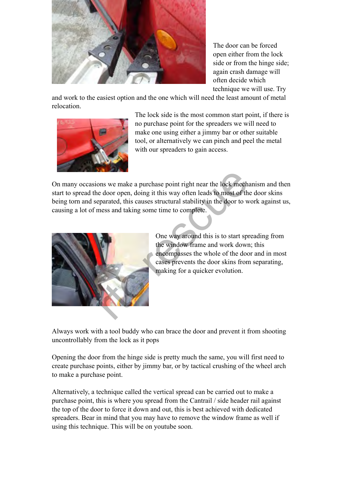

The door can be forced open either from the lock side or from the hinge side; again crash damage will often decide which technique we will use. Try

and work to the easiest option and the one which will need the least amount of metal relocation.



The lock side is the most common start point, if there is no purchase point for the spreaders we will need to make one using either a jimmy bar or other suitable tool, or alternatively we can pinch and peel the metal with our spreaders to gain access.

On many occasions we make a purchase point right near the lock mechanism and then start to spread the door open, doing it this way often leads to most of the door skins being torn and separated, this causes structural stability in the door to work against us, causing a lot of mess and taking some time to complete. France and this way often leads to most of the parated, this causes structural stability in the door to whose and taking some time to complete.<br>
One way around this is to start spread to most of the window frame and work d



One way around this is to start spreading from the window frame and work down; this encompasses the whole of the door and in most cases prevents the door skins from separating, making for a quicker evolution.

Always work with a tool buddy who can brace the door and prevent it from shooting uncontrollably from the lock as it pops

Opening the door from the hinge side is pretty much the same, you will first need to create purchase points, either by jimmy bar, or by tactical crushing of the wheel arch to make a purchase point.

Alternatively, a technique called the vertical spread can be carried out to make a purchase point, this is where you spread from the Cantrail / side header rail against the top of the door to force it down and out, this is best achieved with dedicated spreaders. Bear in mind that you may have to remove the window frame as well if using this technique. This will be on youtube soon.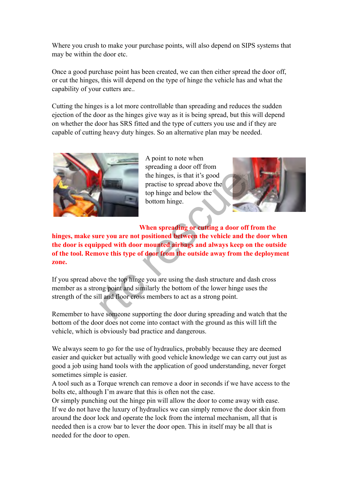Where you crush to make your purchase points, will also depend on SIPS systems that may be within the door etc.

Once a good purchase point has been created, we can then either spread the door off, or cut the hinges, this will depend on the type of hinge the vehicle has and what the capability of your cutters are..

Cutting the hinges is a lot more controllable than spreading and reduces the sudden ejection of the door as the hinges give way as it is being spread, but this will depend on whether the door has SRS fitted and the type of cutters you use and if they are capable of cutting heavy duty hinges. So an alternative plan may be needed.



A point to note when spreading a door off from the hinges, is that it's good practise to spread above the top hinge and below the bottom hinge.



**When spreading or cutting a door off from the hinges, make sure you are not positioned between the vehicle and the door when the door is equipped with door mounted airbags and always keep on the outside of the tool. Remove this type of door from the outside away from the deployment zone.** The hinges, is that it's good<br>practise to spread above the<br>top hinge and below the<br>bottom hinge.<br>When spreading or cutting a door off<br>re you are not positioned between the vehicle and th<br>pped with door mounted airbags and

If you spread above the top hinge you are using the dash structure and dash cross member as a strong point and similarly the bottom of the lower hinge uses the strength of the sill and floor cross members to act as a strong point.

Remember to have someone supporting the door during spreading and watch that the bottom of the door does not come into contact with the ground as this will lift the vehicle, which is obviously bad practice and dangerous.

We always seem to go for the use of hydraulics, probably because they are deemed easier and quicker but actually with good vehicle knowledge we can carry out just as good a job using hand tools with the application of good understanding, never forget sometimes simple is easier.

A tool such as a Torque wrench can remove a door in seconds if we have access to the bolts etc, although I'm aware that this is often not the case.

Or simply punching out the hinge pin will allow the door to come away with ease. If we do not have the luxury of hydraulics we can simply remove the door skin from around the door lock and operate the lock from the internal mechanism, all that is needed then is a crow bar to lever the door open. This in itself may be all that is needed for the door to open.